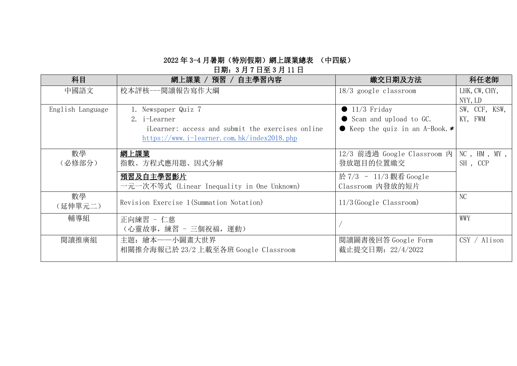# 日期:3 月 7 日至 3 月 11 日

| 科目               | 網上課業 / 預習 /<br>自主學習內容                            | 繳交日期及方法                           | 科任老師                 |
|------------------|--------------------------------------------------|-----------------------------------|----------------------|
| 中國語文             | 校本評核---閲讀報告寫作大綱                                  | $18/3$ google classroom           | LHK, CW, CHY,        |
|                  |                                                  |                                   | NYY, LD              |
| English Language | 1. Newspaper Quiz 7                              | $\bullet$ 11/3 Friday             | SW, CCF, KSW,        |
|                  | 2. i-Learner                                     | ● Scan and upload to GC.          | KY, FWM              |
|                  | iLearner: access and submit the exercises online | • Keep the quiz in an A-Book. $*$ |                      |
|                  | https://www.i-learner.com.hk/index2018.php       |                                   |                      |
| 數學               | 網上課業                                             | 12/3 前透過 Google Classroom 内       | $NC$ , $HM$ , $MY$ , |
| (必修部分)           | 指數、方程式應用題、因式分解                                   | 發放題目的位置繳交                         | SH, CCP              |
|                  | 預習及自主學習影片                                        | 於 7/3 - 11/3 觀看 Google            |                      |
|                  | 一元一次不等式 (Linear Inequality in One Unknown)       | Classroom 内發放的短片                  |                      |
| 數學               |                                                  |                                   | N <sub>C</sub>       |
| (延伸單元二)          | Revision Exercise 1 (Summation Notation)         | $11/3$ (Google Classroom)         |                      |
| 輔導組              | 正向練習 - 仁慈                                        |                                   | WWY                  |
|                  | (心靈故事, 練習 - 三個祝福, 運動)                            |                                   |                      |
| 閱讀推廣組            | 主題: 繪本一一小圖畫大世界                                   | 閱讀圖書後回答 Google Form               | CSY / Alison         |
|                  | 相關推介海報已於 23/2 上載至各班 Google Classroom             | 截止提交日期: 22/4/2022                 |                      |
|                  |                                                  |                                   |                      |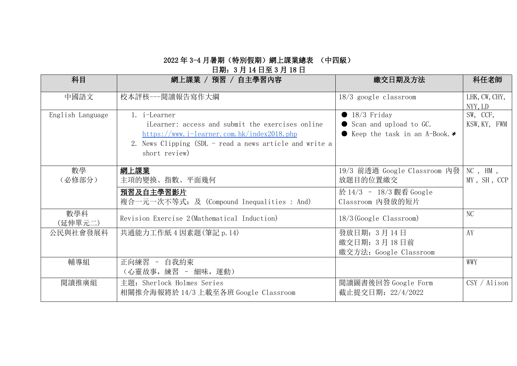## 日期:3 月 14 日至 3 月 18 日

| 科目               | 網上課業 / 預習 / 自主學習內容                                                       | 繳交日期及方法                           | 科任老師                     |
|------------------|--------------------------------------------------------------------------|-----------------------------------|--------------------------|
| 中國語文             | 校本評核---閱讀報告寫作大綱                                                          | $18/3$ google classroom           | LHK, CW, CHY,<br>NYY, LD |
| English Language | 1. i-Learner                                                             | $\bullet$ 18/3 Friday             | SW, CCF,                 |
|                  | iLearner: access and submit the exercises online                         | Scan and upload to GC.            | KSW, KY, FWM             |
|                  | $https://www.i-learner.com.hk/index2018.php$                             | • Keep the task in an A-Book. $*$ |                          |
|                  | 2. News Clipping (SDL - read a news article and write a<br>short review) |                                   |                          |
| 數學               | 網上課業                                                                     | 19/3 前透過 Google Classroom 内發      | $NC$ , $HM$ ,            |
| (必修部分)           | 主項的變換、指數、平面幾何                                                            | 放題目的位置繳交                          | MY, SH, CCP              |
|                  | 預習及自主學習影片                                                                | 於 14/3 - 18/3 觀看 Google           |                          |
|                  | 複合一元一次不等式: 及 (Compound Inequalities : And)                               | Classroom 内發放的短片                  |                          |
| 數學科<br>(延伸單元二)   | Revision Exercise 2(Mathematical Induction)                              | $18/3$ (Google Classroom)         | NC                       |
| 公民與社會發展科         | 共通能力工作紙 4 因素題 (筆記 p. 14)                                                 | 發放日期: 3月14日                       | AY                       |
|                  |                                                                          | 繳交日期: 3月18日前                      |                          |
|                  |                                                                          | 繳交方法: Google Classroom            |                          |
| 輔導組              | 正向練習 - 自我約束                                                              |                                   | WWY                      |
|                  | (心靈故事, 練習 - 細味, 運動)                                                      |                                   |                          |
| 閱讀推廣組            | 主題: Sherlock Holmes Series                                               | 閲讀圖書後回答 Google Form               | CSY / Alison             |
|                  | 相關推介海報將於 14/3 上載至各班 Google Classroom                                     | 截止提交日期: 22/4/2022                 |                          |
|                  |                                                                          |                                   |                          |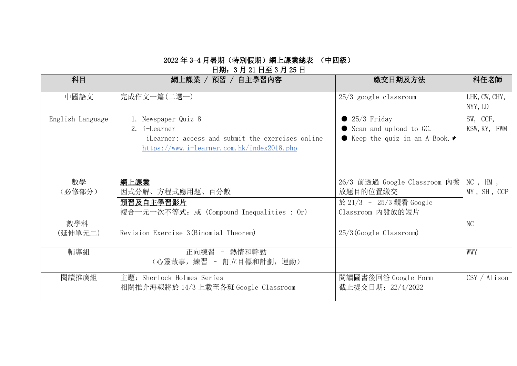# 日期:3 月 21 日至 3 月 25 日

| 科目               | 網上課業 / 預習 / 自主學習內容                                                                                                                    | 繳交日期及方法                                                                                   | 科任老師                         |
|------------------|---------------------------------------------------------------------------------------------------------------------------------------|-------------------------------------------------------------------------------------------|------------------------------|
| 中國語文             | 完成作文一篇(二選一)                                                                                                                           | $25/3$ google classroom                                                                   | LHK, CW, CHY,<br>NYY, LD     |
| English Language | 1. Newspaper Quiz 8<br>2. i-Learner<br>iLearner: access and submit the exercises online<br>https://www.i-learner.com.hk/index2018.php | $\bullet$ 25/3 Friday<br>● Scan and upload to GC.<br>• Keep the quiz in an A-Book. $*$    | SW, CCF,<br>KSW, KY, FWM     |
| 數學<br>(必修部分)     | 網上課業<br>因式分解、方程式應用題、百分數<br>預習及自主學習影片<br>複合一元一次不等式: 或 (Compound Inequalities : Or)                                                     | 26/3 前透過 Google Classroom 内發  <br>放題目的位置繳交<br>於 21/3 - 25/3 觀看 Google<br>Classroom 内發放的短片 | $NC$ , $HM$ ,<br>MY, SH, CCP |
| 數學科<br>(延伸單元二)   | Revision Exercise 3(Binomial Theorem)                                                                                                 | $25/3$ (Google Classroom)                                                                 | NC                           |
| 輔導組              | 正向練習 - 熱情和幹勁<br>(心靈故事, 練習 - 訂立目標和計劃, 運動)                                                                                              |                                                                                           | WWY                          |
| 閱讀推廣組            | 主題: Sherlock Holmes Series<br>相關推介海報將於 14/3 上載至各班 Google Classroom                                                                    | 閱讀圖書後回答 Google Form<br>截止提交日期: 22/4/2022                                                  | CSY / Alison                 |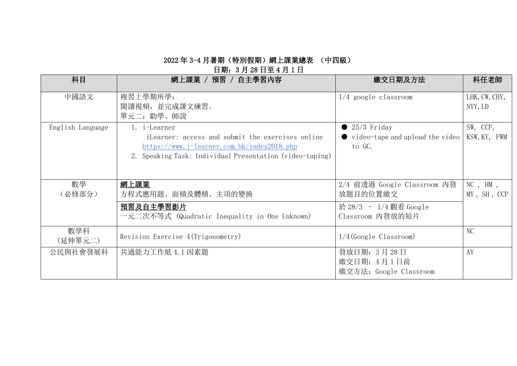## 日期:3 月 28 日至 4 月 1 日

| 科目               | 網上課業 / 預習 / 自主學習內容                                                                                                                                                         | 繳交日期及方法                                                                               | 科任老師                         |
|------------------|----------------------------------------------------------------------------------------------------------------------------------------------------------------------------|---------------------------------------------------------------------------------------|------------------------------|
| 中國語文             | 複習上學期所學:<br>閲讀視頻, 並完成課文練習。<br>單元二: 勸學、師說                                                                                                                                   | $1/4$ google classroom                                                                | LHK, CW, CHY,<br>NYY, LD     |
| English Language | 1. i-Learner<br>iLearner: access and submit the exercises online<br>https://www.i-learner.com.hk/index2018.php<br>2. Speaking Task: Individual Presentation (video-taping) | $\bullet$ 25/3 Friday<br>$\bullet$ video-tape and upload the video<br>to GC.          | SW, CCF,<br>KSW, KY, FWM     |
| 數學<br>(必修部分)     | 網上課業<br>方程式應用題、面積及體積、主項的變換<br>預習及自主學習影片<br>一元二次不等式(Quadratic Inequality in One Unknown)                                                                                    | 2/4 前透過 Google Classroom 內發<br>放題目的位置繳交<br>於 28/3 - 1/4 觀看 Google<br>Classroom 内發放的短片 | $NC$ , $HM$ ,<br>MY, SH, CCP |
| 數學科<br>(延伸單元二)   | Revision Exercise 4(Trigonometry)                                                                                                                                          | 1/4(Google Classroom)                                                                 | NC                           |
| 公民與社會發展科         | 共通能力工作紙 4.1因素題                                                                                                                                                             | 發放日期: 3月28日<br>繳交日期: 4月1日前<br>繳交方法: Google Classroom                                  | AY                           |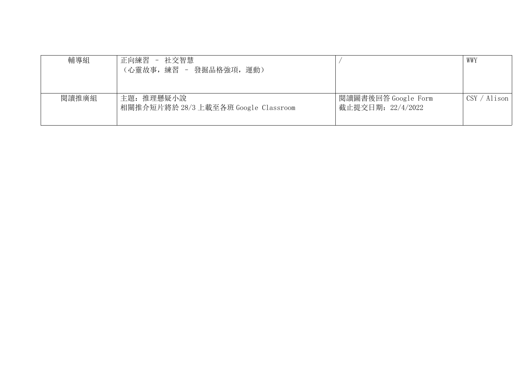| 輔導組   | - 社交智慧<br>正向練習<br>(心靈故事, 練習 - 發掘品格強項, 運動)          |                                          | WWY                          |
|-------|----------------------------------------------------|------------------------------------------|------------------------------|
| 閱讀推廣組 | 主題: 推理懸疑小說<br>相關推介短片將於 28/3 上載至各班 Google Classroom | 閲讀圖書後回答 Google Form<br>截止提交日期: 22/4/2022 | $\text{CSV} / \text{Alison}$ |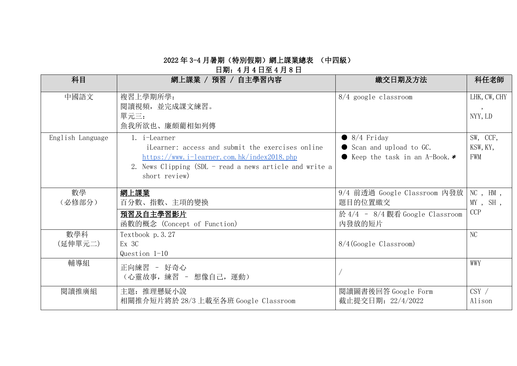# 日期:4 月 4 日至 4 月 8 日

| 科目               | 網上課業 / 預習 / 自主學習內容                                                                                                                                                                         | 繳交日期及方法                                                                               | 科任老師                                      |
|------------------|--------------------------------------------------------------------------------------------------------------------------------------------------------------------------------------------|---------------------------------------------------------------------------------------|-------------------------------------------|
| 中國語文             | 複習上學期所學:<br>閲讀視頻, 並完成課文練習。<br>單元三:<br>魚我所欲也、廉頗藺相如列傳                                                                                                                                        | $8/4$ google classroom                                                                | LHK, CW, CHY<br>$\cdot$<br>NYY, LD        |
| English Language | 1. i-Learner<br>iLearner: access and submit the exercises online<br>https://www.i-learner.com.hk/index2018.php<br>2. News Clipping (SDL - read a news article and write a<br>short review) | $\bullet$ 8/4 Friday<br>● Scan and upload to GC.<br>• Keep the task in an A-Book. $*$ | SW, CCF,<br>KSW, KY,<br><b>FWM</b>        |
| 數學<br>(必修部分)     | 網上課業<br>百分數、指數、主項的變換                                                                                                                                                                       | 9/4 前透過 Google Classroom 内發放  <br>題目的位置繳交                                             | $NC$ , $HM$ ,<br>$MY$ , SH,<br><b>CCP</b> |
|                  | 預習及自主學習影片<br>函數的概念 (Concept of Function)                                                                                                                                                   | 於 4/4 - 8/4 觀看 Google Classroom<br>内發放的短片                                             |                                           |
| 數學科<br>(延伸單元二)   | Textbook p. 3.27<br>Ex 3C<br>Question $1-10$                                                                                                                                               | $8/4$ (Google Classroom)                                                              | NC                                        |
| 輔導組              | 正向練習 - 好奇心<br>(心靈故事, 練習 - 想像自己, 運動)                                                                                                                                                        |                                                                                       | WWY                                       |
| 閲讀推廣組            | 主題: 推理懸疑小說<br>相關推介短片將於 28/3 上載至各班 Google Classroom                                                                                                                                         | 閲讀圖書後回答 Google Form<br>截止提交日期: 22/4/2022                                              | CSY /<br>Alison                           |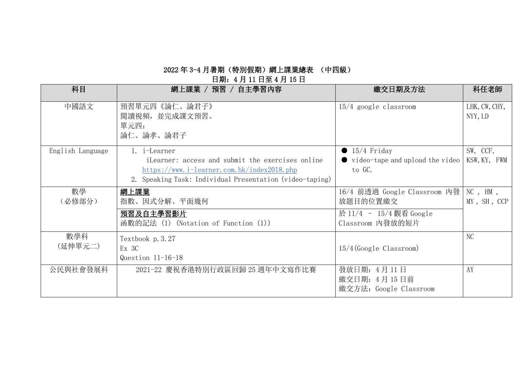日期:4 月 11 日至 4 月 15 日

| 科目               | 網上課業 / 預習 / 自主學習內容                                                                                                                                                         | 繳交日期及方法                                                                                 | 科任老師                         |
|------------------|----------------------------------------------------------------------------------------------------------------------------------------------------------------------------|-----------------------------------------------------------------------------------------|------------------------------|
| 中國語文             | 預習單元四《論仁、論君子》<br>閲讀視頻, 並完成課文預習。<br>單元四:<br>論仁、論孝、論君子                                                                                                                       | $15/4$ google classroom                                                                 | LHK, CW, CHY,<br>NYY, LD     |
| English Language | 1. i-Learner<br>iLearner: access and submit the exercises online<br>https://www.i-learner.com.hk/index2018.php<br>2. Speaking Task: Individual Presentation (video-taping) | $\bullet$ 15/4 Friday<br>$\bullet$ video-tape and upload the video<br>to GC.            | SW, CCF,<br>KSW, KY, FWM     |
| 數學<br>(必修部分)     | 網上課業<br>指數、因式分解、平面幾何<br>預習及自主學習影片<br>函數的記法 (1) (Notation of Function (1))                                                                                                  | 16/4 前透過 Google Classroom 内發<br>放題目的位置繳交<br>於 11/4 - 15/4 觀看 Google<br>Classroom 内發放的短片 | $NC$ , $HM$ ,<br>MY, SH, CCP |
| 數學科<br>(延伸單元二)   | Textbook p. 3.27<br>Ex 3C<br>Question $11-16-18$                                                                                                                           | $15/4$ (Google Classroom)                                                               | N <sub>C</sub>               |
| 公民與社會發展科         | 2021-22 慶祝香港特別行政區回歸 25 週年中文寫作比賽                                                                                                                                            | 發放日期: 4月11日<br>繳交日期: 4月15日前<br>繳交方法: Google Classroom                                   | AY                           |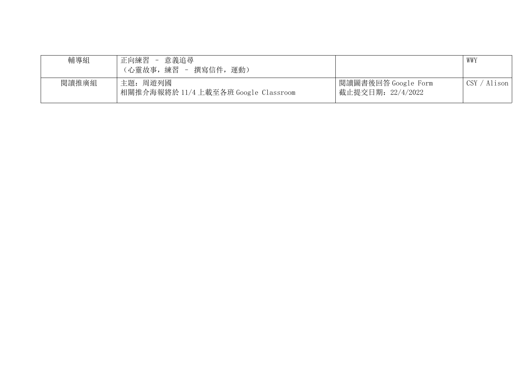| 輔導組   | 正向練習<br>意義追尋<br>$\sim$<br>(心靈故事, 練習 - 撰寫信件, 運動)  |                                          | WWY          |
|-------|--------------------------------------------------|------------------------------------------|--------------|
| 閱讀推廣組 | 主題: 周遊列國<br>相關推介海報將於 11/4 上載至各班 Google Classroom | 閲讀圖書後回答 Google Form<br>截止提交日期: 22/4/2022 | CSY / Alison |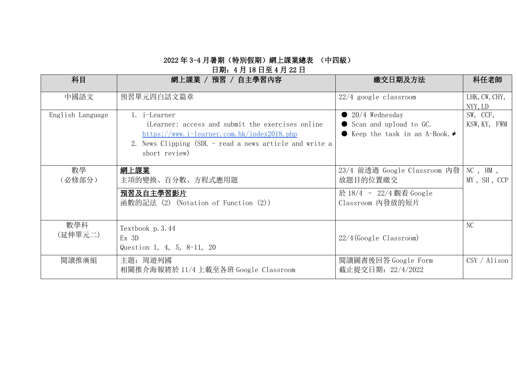#### 日期:4 月 18 日至 4 月 22 日

| 科目               | 自主學習內容<br>網上課業 /<br>_預習 /                                                                                                                                                                  | 繳交日期及方法                                                                                 | 科任老師                         |
|------------------|--------------------------------------------------------------------------------------------------------------------------------------------------------------------------------------------|-----------------------------------------------------------------------------------------|------------------------------|
| 中國語文             | 預習單元四白話文篇章                                                                                                                                                                                 | $22/4$ google classroom                                                                 | LHK, CW, CHY,<br>NYY, LD     |
| English Language | 1. i-Learner<br>iLearner: access and submit the exercises online<br>https://www.i-learner.com.hk/index2018.php<br>2. News Clipping (SDL - read a news article and write a<br>short review) | $\bullet$ 20/4 Wednesday<br>Scan and upload to GC.<br>• Keep the task in an A-Book. $*$ | SW, CCF,<br>KSW, KY, FWM     |
| 數學<br>(必修部分)     | 網上課業<br>主項的變換、百分數、方程式應用題<br>預習及自主學習影片<br>函數的記法 (2) (Notation of Function (2))                                                                                                              | 23/4 前透過 Google Classroom 内發<br>放題目的位置繳交<br>於 18/4 - 22/4 觀看 Google<br>Classroom 内發放的短片 | $NC$ , $HM$ ,<br>MY, SH, CCP |
| 數學科<br>(延伸單元二)   | Textbook p. 3.44<br>$Ex$ 3D<br>Question 1, 4, 5, 8-11, 20                                                                                                                                  | $22/4$ (Google Classroom)                                                               | NC                           |
| 閱讀推廣組            | 主題: 周遊列國<br>相關推介海報將於 11/4 上載至各班 Google Classroom                                                                                                                                           | 閲讀圖書後回答 Google Form<br>截止提交日期: 22/4/2022                                                | CSY / Alison                 |